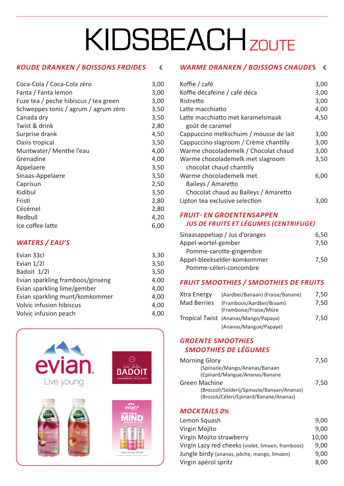# **KIDSBEACHZOUTE**

## *KOUDE DRANKEN / BOISSONS FROIDES*€

| Coca-Cola / Coca-Cola zéro            | 3,00 |
|---------------------------------------|------|
| Fanta / Fanta lemon                   | 3,00 |
| Fuze tea / peche hibiscus / tea green | 3,00 |
| Schweppes tonic / agrum / agrum zéro  | 3,50 |
| Canada dry                            | 3,50 |
| Twist & drink                         | 2,80 |
| Surprise drank                        | 4,50 |
| Oasis tropical                        | 3,50 |
| Muntwater/Menthe l'eau                | 4,00 |
| Grenadine                             | 4,00 |
| Appelaere                             | 3,50 |
| Sinaas-Appelaere                      | 3,50 |
| Caprisun                              | 2,50 |
| Kidibul                               | 3,50 |
| Fristi                                | 2,80 |
| Cécémel                               | 2,80 |
| Redbull                               | 4,20 |
| Ice coffee latte                      | 6,00 |

## *WATERS / EAU'S*

| Evian 33cl                       | 3,30 |
|----------------------------------|------|
| Evian 1/21                       | 3,50 |
| Badoit 1/2l                      | 3,50 |
| Evian sparkling framboos/ginseng | 4,00 |
| Evian sparkling lime/gember      | 4,00 |
| Evian sparkling munt/komkommer   | 4,00 |
| Volvic infusion hibiscus         | 4,00 |
| Volvic infusion peach            | 4.00 |
|                                  |      |



## *WARME DRANKEN / BOISSONS CHAUDE***S** €

| Koffie / café                          | 3,00 |
|----------------------------------------|------|
| Koffie décafeine / café déca           | 3,00 |
| Ristretto                              | 3,00 |
| Latte macchiatto                       | 4,00 |
| Latte macchiatto met karamelsmaak      | 4,50 |
| goût de caramel                        |      |
| Cappuccino melkschuim / mousse de lait | 3,00 |
| Cappuccino slagroom / Crème chantilly  | 3,00 |
| Warme chocolademelk / Chocolat chaud   | 3,00 |
| Warme chocolademelk met slagroom       | 3,50 |
| chocolat chaud chantilly               |      |
| Warme chocolademelk met                | 6,00 |
| Baileys / Amaretto                     |      |
| Chocolat chaud au Baileys / Amaretto   |      |
| Lipton tea exclusive selection         | 3.0  |

#### *FRUIT- EN GROENTENSAPPEN JUS DE FRUITS ET LÉGUMES (CENTRIFUGE)*

| Sinaasappelsap / Jus d'oranges | 6,50 |
|--------------------------------|------|
| Appel-wortel-gember            | 7,50 |
| Pomme-carotte-gingembre        |      |
| Appel-bleekselder-komkommer    | 7.50 |
| Pomme-céleri-concombre         |      |

## *FRUIT SMOOTHIES / SMOOTHIES DE FRUITS*

| Xtra Energy        | (Aardbei/Banaan) (Fraise/Banane)                   | 7,50 |
|--------------------|----------------------------------------------------|------|
| <b>Mad Berries</b> | (Framboos/Aardbei/Braam)<br>(Framboise/Fraise/Mûre | 7,50 |
|                    | Tropical Twist (Ananas/Mango/Papaya)               | 7,50 |
|                    | (Ananas/Mangue/Papaye)                             |      |

## *GROENTE SMOOTHIES SMOOTHIES DE LÉGUMES*

| <b>Morning Glory</b>                                                                 | 7,50 |
|--------------------------------------------------------------------------------------|------|
| (Spinazie/Mango/Ananas/Banaan                                                        |      |
| (Epinard/Mangue/Ananas/Banane                                                        |      |
| Green Machine                                                                        | 7,50 |
| (Broccoli/Selderij/Spinazie/Banaan/Ananas)<br>(Brocoli/Céleri/Epinard/Banane/Ananas) |      |
|                                                                                      |      |

## *MOCKTAILS 0%*

| Lemon Squash                                      | 9,00  |
|---------------------------------------------------|-------|
| Virgin Mojito                                     | 9,00  |
| Virgin Mojito strawberry                          | 10,00 |
| Virgin Lazy red cheeks (violet, limoen, framboos) | 9,00  |
| Jungle birdy (ananas, pêche, mango, limoen)       | 9,00  |
| Virgin apérol spritz                              | 8,00  |